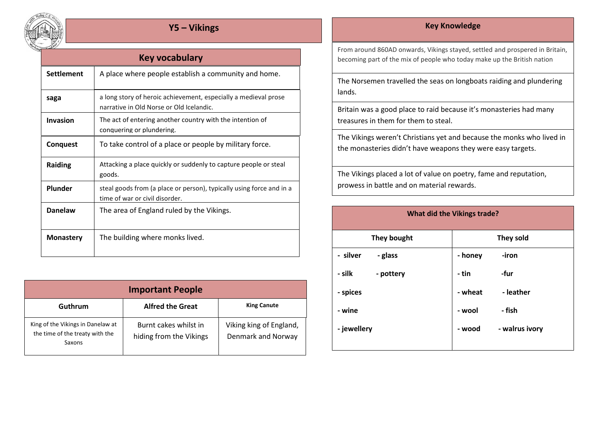

| Key vocabulary    |                                                                                                             |  |
|-------------------|-------------------------------------------------------------------------------------------------------------|--|
| <b>Settlement</b> | A place where people establish a community and home.                                                        |  |
| saga              | a long story of heroic achievement, especially a medieval prose<br>narrative in Old Norse or Old Icelandic. |  |
| <b>Invasion</b>   | The act of entering another country with the intention of<br>conquering or plundering.                      |  |
| Conquest          | To take control of a place or people by military force.                                                     |  |
| <b>Raiding</b>    | Attacking a place quickly or suddenly to capture people or steal<br>goods.                                  |  |
| Plunder           | steal goods from (a place or person), typically using force and in a<br>time of war or civil disorder.      |  |
| <b>Danelaw</b>    | The area of England ruled by the Vikings.                                                                   |  |
| <b>Monastery</b>  | The building where monks lived.                                                                             |  |

| <b>Important People</b>                                                        |                                                  |                                               |  |  |
|--------------------------------------------------------------------------------|--------------------------------------------------|-----------------------------------------------|--|--|
| <b>Guthrum</b>                                                                 | <b>Alfred the Great</b>                          | <b>King Canute</b>                            |  |  |
| King of the Vikings in Danelaw at<br>the time of the treaty with the<br>Saxons | Burnt cakes whilst in<br>hiding from the Vikings | Viking king of England,<br>Denmark and Norway |  |  |

## **Y5 – Vikings Key Knowledge**

From around 860AD onwards, Vikings stayed, settled and prospered in Britain, becoming part of the mix of people who today make up the British nation

The Norsemen travelled the seas on longboats raiding and plundering lands.

Britain was a good place to raid because it's monasteries had many treasures in them for them to steal.

The Vikings weren't Christians yet and because the monks who lived in the monasteries didn't have weapons they were easy targets.

The Vikings placed a lot of value on poetry, fame and reputation, prowess in battle and on material rewards.

## **What did the Vikings trade?**

| They bought         | They sold                |  |
|---------------------|--------------------------|--|
| - silver<br>- glass | - honey<br>-iron         |  |
| - silk<br>- pottery | -fur<br>- tin            |  |
| - spices            | - leather<br>- wheat     |  |
| - wine              | - fish<br>- wool         |  |
| - jewellery         | - walrus ivory<br>- wood |  |
|                     |                          |  |